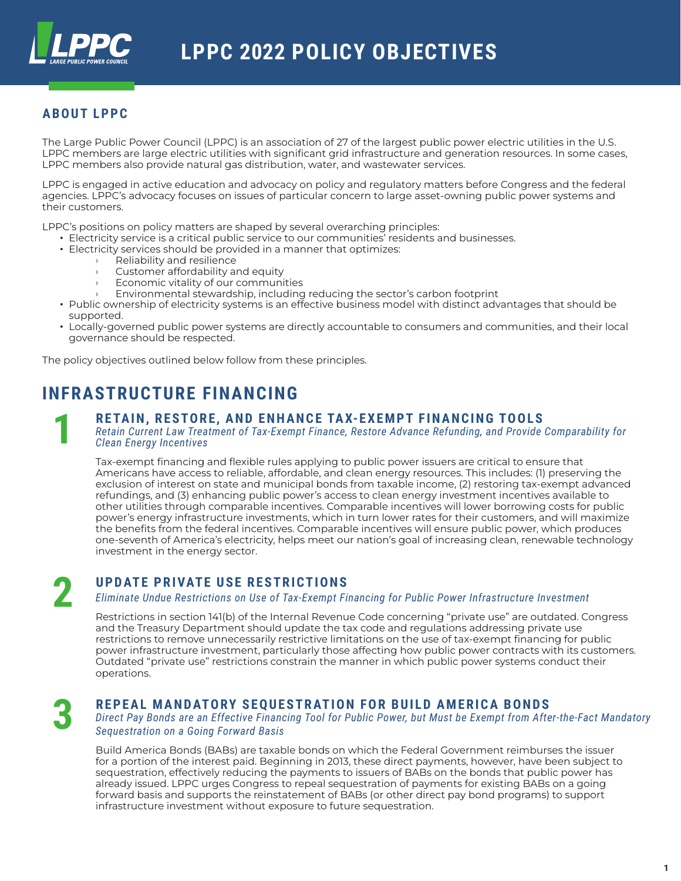

## **ABOUT LPPC**

The Large Public Power Council (LPPC) is an association of 27 of the largest public power electric utilities in the U.S. LPPC members are large electric utilities with significant grid infrastructure and generation resources. In some cases, LPPC members also provide natural gas distribution, water, and wastewater services.

LPPC is engaged in active education and advocacy on policy and regulatory matters before Congress and the federal agencies. LPPC's advocacy focuses on issues of particular concern to large asset-owning public power systems and their customers.

LPPC's positions on policy matters are shaped by several overarching principles:

- Electricity service is a critical public service to our communities' residents and businesses.
- Electricity services should be provided in a manner that optimizes:
	- $\rightarrow$  Reliability and resilience
	- $\rightarrow$  Customer affordability and equity
	- $\rightarrow$  Economic vitality of our communities
	- Environmental stewardship, including reducing the sector's carbon footprint
- Public ownership of electricity systems is an effective business model with distinct advantages that should be supported.
- Locally-governed public power systems are directly accountable to consumers and communities, and their local governance should be respected.

The policy objectives outlined below follow from these principles.

# **INFRASTRUCTURE FINANCING**

### **RETAIN, RESTORE, AND ENHANCE TAX-EXEMPT FINANCING TOOLS**

*Retain Current Law Treatment of Tax-Exempt Finance, Restore Advance Refunding, and Provide Comparability for Clean Energy Incentives*

Tax-exempt financing and flexible rules applying to public power issuers are critical to ensure that Americans have access to reliable, affordable, and clean energy resources. This includes: (1) preserving the exclusion of interest on state and municipal bonds from taxable income, (2) restoring tax-exempt advanced refundings, and (3) enhancing public power's access to clean energy investment incentives available to other utilities through comparable incentives. Comparable incentives will lower borrowing costs for public power's energy infrastructure investments, which in turn lower rates for their customers, and will maximize the benefits from the federal incentives. Comparable incentives will ensure public power, which produces one-seventh of America's electricity, helps meet our nation's goal of increasing clean, renewable technology investment in the energy sector.

## **UPDATE PRIVATE USE RESTRICTIONS**

*Eliminate Undue Restrictions on Use of Tax-Exempt Financing for Public Power Infrastructure Investment*

Restrictions in section 141(b) of the Internal Revenue Code concerning "private use" are outdated. Congress and the Treasury Department should update the tax code and regulations addressing private use restrictions to remove unnecessarily restrictive limitations on the use of tax-exempt financing for public power infrastructure investment, particularly those affecting how public power contracts with its customers. Outdated "private use" restrictions constrain the manner in which public power systems conduct their operations.

**3**

**2**

**1**

## **REPEAL MANDATORY SEQUESTRATION FOR BUILD AMERICA BONDS**

*Direct Pay Bonds are an Effective Financing Tool for Public Power, but Must be Exempt from After-the-Fact Mandatory Sequestration on a Going Forward Basis*

Build America Bonds (BABs) are taxable bonds on which the Federal Government reimburses the issuer for a portion of the interest paid. Beginning in 2013, these direct payments, however, have been subject to sequestration, effectively reducing the payments to issuers of BABs on the bonds that public power has already issued. LPPC urges Congress to repeal sequestration of payments for existing BABs on a going forward basis and supports the reinstatement of BABs (or other direct pay bond programs) to support infrastructure investment without exposure to future sequestration.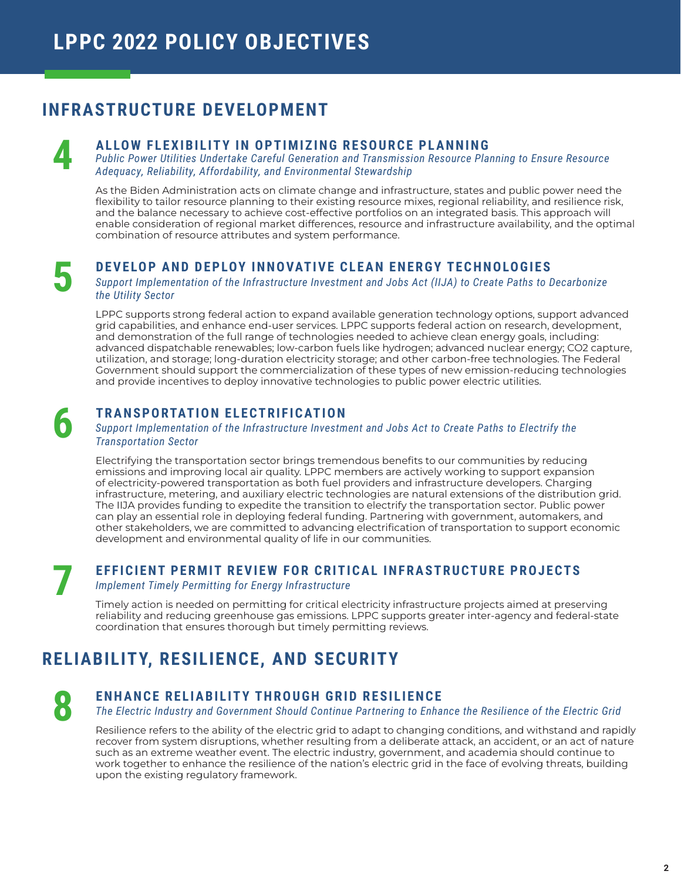# **INFRASTRUCTURE DEVELOPMENT**

### **ALLOW FLEXIBILITY IN OPTIMIZING RESOURCE PLANNING**

*Public Power Utilities Undertake Careful Generation and Transmission Resource Planning to Ensure Resource Adequacy, Reliability, Affordability, and Environmental Stewardship*

As the Biden Administration acts on climate change and infrastructure, states and public power need the flexibility to tailor resource planning to their existing resource mixes, regional reliability, and resilience risk, and the balance necessary to achieve cost-effective portfolios on an integrated basis. This approach will enable consideration of regional market differences, resource and infrastructure availability, and the optimal combination of resource attributes and system performance.

## **DEVELOP AND DEPLOY INNOVATIVE CLEAN ENERGY TECHNOLOGIES**

*Support Implementation of the Infrastructure Investment and Jobs Act (IIJA) to Create Paths to Decarbonize the Utility Sector*

LPPC supports strong federal action to expand available generation technology options, support advanced grid capabilities, and enhance end-user services. LPPC supports federal action on research, development, and demonstration of the full range of technologies needed to achieve clean energy goals, including: advanced dispatchable renewables; low-carbon fuels like hydrogen; advanced nuclear energy; CO2 capture, utilization, and storage; long-duration electricity storage; and other carbon-free technologies. The Federal Government should support the commercialization of these types of new emission-reducing technologies and provide incentives to deploy innovative technologies to public power electric utilities.

## **TRANSPORTATION ELECTRIFICATION**

#### *Support Implementation of the Infrastructure Investment and Jobs Act to Create Paths to Electrify the Transportation Sector*

Electrifying the transportation sector brings tremendous benefits to our communities by reducing emissions and improving local air quality. LPPC members are actively working to support expansion of electricity-powered transportation as both fuel providers and infrastructure developers. Charging infrastructure, metering, and auxiliary electric technologies are natural extensions of the distribution grid. The IIJA provides funding to expedite the transition to electrify the transportation sector. Public power can play an essential role in deploying federal funding. Partnering with government, automakers, and other stakeholders, we are committed to advancing electrification of transportation to support economic development and environmental quality of life in our communities.

**7**

**4**

**5**

**6**

## **EFFICIENT PERMIT REVIEW FOR CRITICAL INFRASTRUCTURE PROJECTS**

#### *Implement Timely Permitting for Energy Infrastructure*

Timely action is needed on permitting for critical electricity infrastructure projects aimed at preserving reliability and reducing greenhouse gas emissions. LPPC supports greater inter-agency and federal-state coordination that ensures thorough but timely permitting reviews.

# **RELIABILITY, RESILIENCE, AND SECURITY**

**8**

## **ENHANCE RELIABILITY THROUGH GRID RESILIENCE**

*The Electric Industry and Government Should Continue Partnering to Enhance the Resilience of the Electric Grid*

Resilience refers to the ability of the electric grid to adapt to changing conditions, and withstand and rapidly recover from system disruptions, whether resulting from a deliberate attack, an accident, or an act of nature such as an extreme weather event. The electric industry, government, and academia should continue to work together to enhance the resilience of the nation's electric grid in the face of evolving threats, building upon the existing regulatory framework.